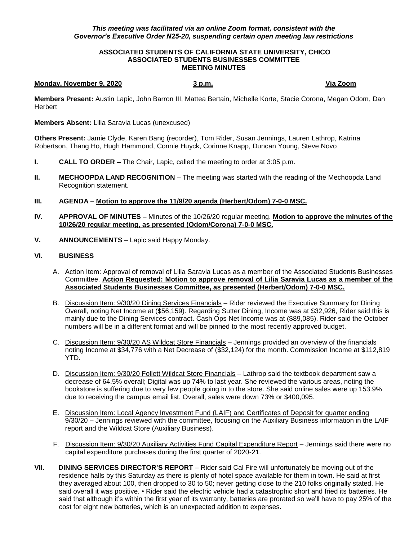## *This meeting was facilitated via an online Zoom format, consistent with the Governor's Executive Order N25-20, suspending certain open meeting law restrictions*

## **ASSOCIATED STUDENTS OF CALIFORNIA STATE UNIVERSITY, CHICO ASSOCIATED STUDENTS BUSINESSES COMMITTEE MEETING MINUTES**

## **Monday, November 9, 2020 3 p.m. Via Zoom**

**Members Present:** Austin Lapic, John Barron III, Mattea Bertain, Michelle Korte, Stacie Corona, Megan Odom, Dan **Herbert** 

**Members Absent:** Lilia Saravia Lucas (unexcused)

**Others Present:** Jamie Clyde, Karen Bang (recorder), Tom Rider, Susan Jennings, Lauren Lathrop, Katrina Robertson, Thang Ho, Hugh Hammond, Connie Huyck, Corinne Knapp, Duncan Young, Steve Novo

- **I. CALL TO ORDER –** The Chair, Lapic, called the meeting to order at 3:05 p.m.
- **II. MECHOOPDA LAND RECOGNITION** The meeting was started with the reading of the Mechoopda Land Recognition statement.
- **III. AGENDA Motion to approve the 11/9/20 agenda (Herbert/Odom) 7-0-0 MSC.**
- **IV. APPROVAL OF MINUTES –** Minutes of the 10/26/20 regular meeting. **Motion to approve the minutes of the 10/26/20 regular meeting, as presented (Odom/Corona) 7-0-0 MSC.**
- **V. ANNOUNCEMENTS** Lapic said Happy Monday.

## **VI. BUSINESS**

- A. Action Item: Approval of removal of Lilia Saravia Lucas as a member of the Associated Students Businesses Committee. **Action Requested: Motion to approve removal of Lilia Saravia Lucas as a member of the Associated Students Businesses Committee, as presented (Herbert/Odom) 7-0-0 MSC.**
- B. Discussion Item: 9/30/20 Dining Services Financials Rider reviewed the Executive Summary for Dining Overall, noting Net Income at (\$56,159). Regarding Sutter Dining, Income was at \$32,926, Rider said this is mainly due to the Dining Services contract. Cash Ops Net Income was at (\$89,085). Rider said the October numbers will be in a different format and will be pinned to the most recently approved budget.
- C. Discussion Item: 9/30/20 AS Wildcat Store Financials Jennings provided an overview of the financials noting Income at \$34,776 with a Net Decrease of (\$32,124) for the month. Commission Income at \$112,819 YTD.
- D. Discussion Item: 9/30/20 Follett Wildcat Store Financials Lathrop said the textbook department saw a decrease of 64.5% overall; Digital was up 74% to last year. She reviewed the various areas, noting the bookstore is suffering due to very few people going in to the store. She said online sales were up 153.9% due to receiving the campus email list. Overall, sales were down 73% or \$400,095.
- E. Discussion Item: Local Agency Investment Fund (LAIF) and Certificates of Deposit for quarter ending 9/30/20 – Jennings reviewed with the committee, focusing on the Auxiliary Business information in the LAIF report and the Wildcat Store (Auxiliary Business).
- F. Discussion Item: 9/30/20 Auxiliary Activities Fund Capital Expenditure Report Jennings said there were no capital expenditure purchases during the first quarter of 2020-21.
- **VII. DINING SERVICES DIRECTOR'S REPORT** Rider said Cal Fire will unfortunately be moving out of the residence halls by this Saturday as there is plenty of hotel space available for them in town. He said at first they averaged about 100, then dropped to 30 to 50; never getting close to the 210 folks originally stated. He said overall it was positive. • Rider said the electric vehicle had a catastrophic short and fried its batteries. He said that although it's within the first year of its warranty, batteries are prorated so we'll have to pay 25% of the cost for eight new batteries, which is an unexpected addition to expenses.